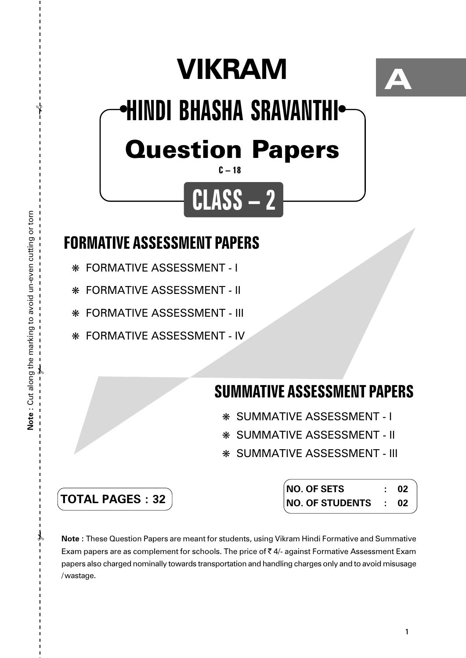# **VIKRAM**



## Question Papers **HINDI BHASHA SRAVANTHI** ● ●

**CLASS – 2**

#### **C – 18**

## **FORMATIVE ASSESSMENT PAPERS**

- ❋ FORMATIVE ASSESSMENT I
- ❋ FORMATIVE ASSESSMENT II
- ❋ FORMATIVE ASSESSMENT III
- ❋ FORMATIVE ASSESSMENT IV

### **SUMMATIVE ASSESSMENT PAPERS**

- ❋ SUMMATIVE ASSESSMENT I
- ❋ SUMMATIVE ASSESSMENT II
- ❋ SUMMATIVE ASSESSMENT III

| <b>TOTAL PAGES : 32</b> |
|-------------------------|
|-------------------------|

| <b>NO. OF SETS</b>     |                  | 02 |
|------------------------|------------------|----|
| <b>NO. OF STUDENTS</b> | $\sim$ 100 $\pm$ | 02 |

**Note :** These Question Papers are meant for students, using Vikram Hindi Formative and Summative Exam papers are as complement for schools. The price of  $\bar{\tau}$  4/- against Formative Assessment Exam papers also charged nominally towards transportation and handling charges only and to avoid misusage /wastage.

 $\lambda$ 

 $\mathcal{X}$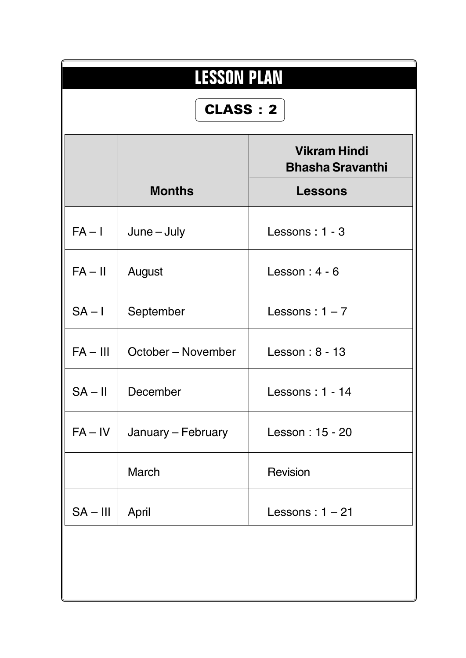| <b>LESSON PLAN</b><br>CLASS: 2 |                    |                                                                  |  |  |  |  |  |
|--------------------------------|--------------------|------------------------------------------------------------------|--|--|--|--|--|
|                                | <b>Months</b>      | <b>Vikram Hindi</b><br><b>Bhasha Sravanthi</b><br><b>Lessons</b> |  |  |  |  |  |
| $FA - I$                       | $June - July$      | Lessons: 1 - 3                                                   |  |  |  |  |  |
| $FA - II$                      | August             | Lesson: $4 - 6$                                                  |  |  |  |  |  |
| $SA - I$                       | September          | Lessons: $1 - 7$                                                 |  |  |  |  |  |
| $FA - III$                     | October – November | Lesson: 8 - 13                                                   |  |  |  |  |  |
| $SA - II$                      | December           | Lessons: 1 - 14                                                  |  |  |  |  |  |
| $FA - IV$                      | January – February | Lesson: 15 - 20                                                  |  |  |  |  |  |
|                                | March              | <b>Revision</b>                                                  |  |  |  |  |  |
| $SA - III$                     | April              | Lessons: $1 - 21$                                                |  |  |  |  |  |
|                                |                    |                                                                  |  |  |  |  |  |
|                                |                    |                                                                  |  |  |  |  |  |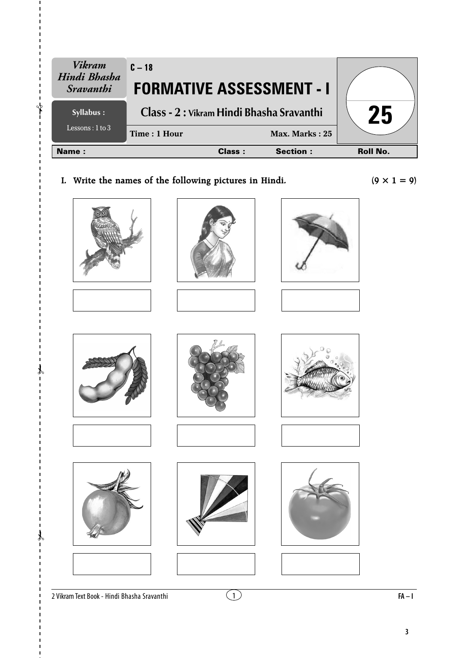| <b>Vikram</b><br>Hindi Bhasha<br>Sravanthi | $C - 18$<br><b>FORMATIVE ASSESSMENT - I</b> |               |                  |                 |
|--------------------------------------------|---------------------------------------------|---------------|------------------|-----------------|
| Syllabus :                                 | Class - 2 : Vikram Hindi Bhasha Sravanthi   |               |                  | 25              |
| Lessons : $1$ to $3$                       | Time: 1 Hour                                |               | Max. Marks: $25$ |                 |
| Name:                                      |                                             | <b>Class:</b> | <b>Section:</b>  | <b>Roll No.</b> |

**I.** Write the names of the following pictures in Hindi.  $(9 \times 1 = 9)$ 



















✃

✃

 $\lambda$ 











2 Vikram Text Book - Hindi Bhasha Sravanthi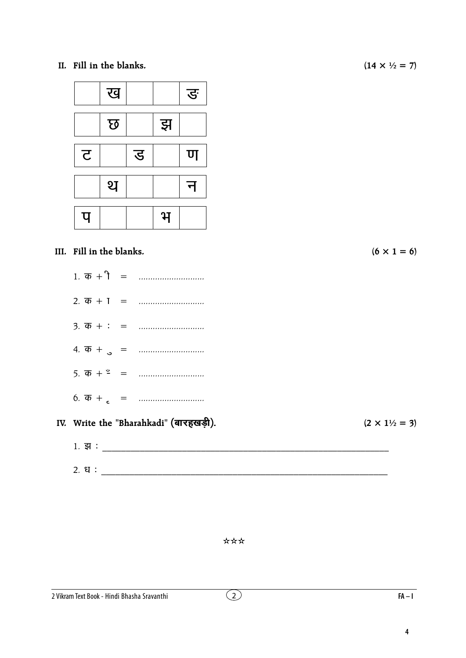II. Fill in the blanks.



#### III. Fill in the blanks.

- 
- 

#### IV. Write the "Bharahkadi" (बारहखड़ी).

#### \*\*\*

 $(14 \times \frac{1}{2} = 7)$ 

 $(6 \times 1 = 6)$ 

 $(2 \times 1\frac{1}{2} = 3)$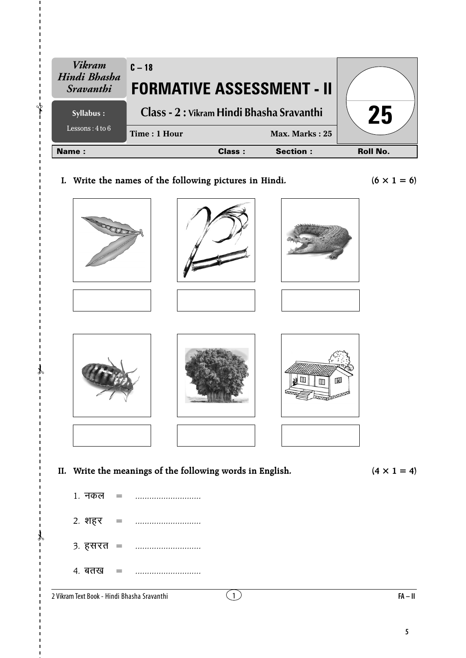| <b>Vikram</b><br>Hindi Bhasha<br><i><b>Sravanthi</b></i> | $C - 18$<br><b>FORMATIVE ASSESSMENT - II</b> |        |                 |                 |
|----------------------------------------------------------|----------------------------------------------|--------|-----------------|-----------------|
| Syllabus :                                               | Class - 2 : Vikram Hindi Bhasha Sravanthi    |        |                 | <b>Z5</b>       |
| Lessons: $4$ to $6$                                      | Time: 1 Hour                                 |        | Max. Marks: 25  |                 |
| Name:                                                    |                                              | Class: | <b>Section:</b> | <b>Roll No.</b> |

I. Write the names of the following pictures in Hindi.

 $(6 \times 1 = 6)$ 



 $(4 \times 1 = 4)$ 

1. नकल  $\equiv$ 2. शहर  $=$  $3.75 + 3.75 = 3.75$ 4. बतख  $=$ 

2 Vikram Text Book - Hindi Bhasha Sravanthi

 $FA - II$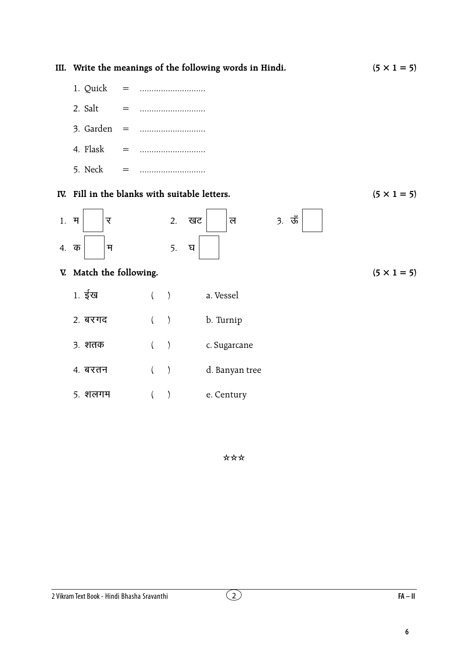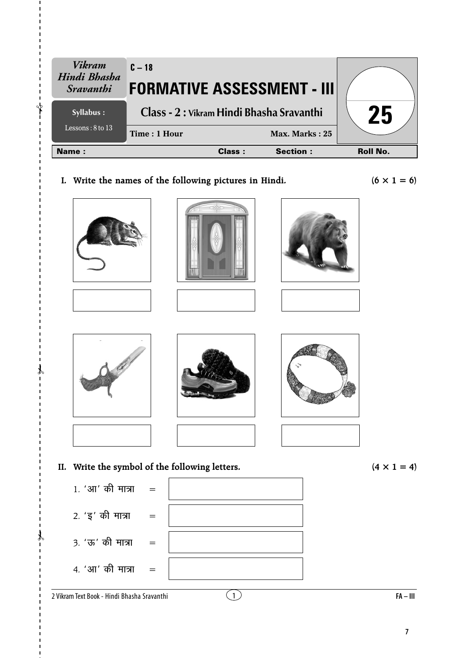| <b>Name:</b>                                             | <b>Class:</b>                                             | Max. Marks: 25<br><b>Section:</b> | <b>Roll No.</b> |
|----------------------------------------------------------|-----------------------------------------------------------|-----------------------------------|-----------------|
| Syllabus :<br>Lessons: $8$ to 13                         | Class - 2 : Vikram Hindi Bhasha Sravanthi<br>Time: 1 Hour | 25                                |                 |
| <b>Vikram</b><br>Hindi Bhasha<br><i><b>Sravanthi</b></i> | $C - 18$<br><b>FORMATIVE ASSESSMENT - III</b>             |                                   |                 |

**I.** Write the names of the following pictures in Hindi.  $(6 \times 1 = 6)$ 













**II.** Write the symbol of the following letters.  $(4 \times 1 = 4)$ 

 $2.$  ' $\xi'$  की मात्रा =

3. 'ऊ' की मात्रा =

✃

✃

 $\lambda$ 

 $4. '3\pi'$  की मात्रा =



2 Vikram Text Book - Hindi Bhasha Sravanthi

1 **FA – III**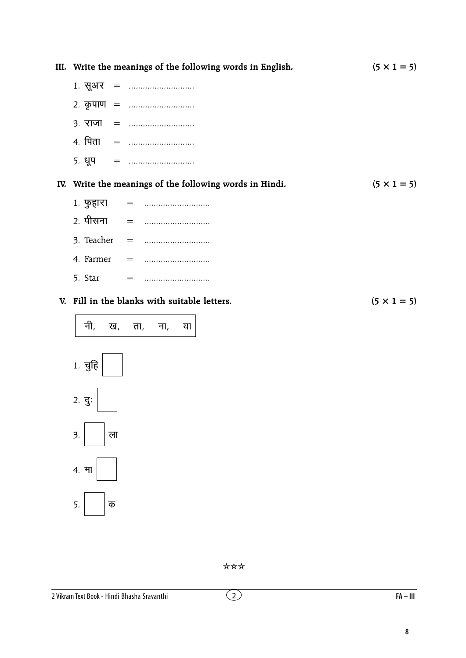|     | III. Write the meanings of the following words in English. | $(5 \times 1 = 5)$ |
|-----|------------------------------------------------------------|--------------------|
|     |                                                            |                    |
|     | 2. कृपाण =                                                 |                    |
|     |                                                            |                    |
|     | 4. पिता =                                                  |                    |
|     |                                                            |                    |
|     | IV. Write the meanings of the following words in Hindi.    | $(5 \times 1 = 5)$ |
|     | 1. फुहारा =                                                |                    |
|     |                                                            |                    |
|     |                                                            |                    |
|     |                                                            |                    |
|     |                                                            |                    |
|     | V. Fill in the blanks with suitable letters.               | $(5 \times 1 = 5)$ |
| नी, | ख, ता, ना,<br>या                                           |                    |



\*\*\*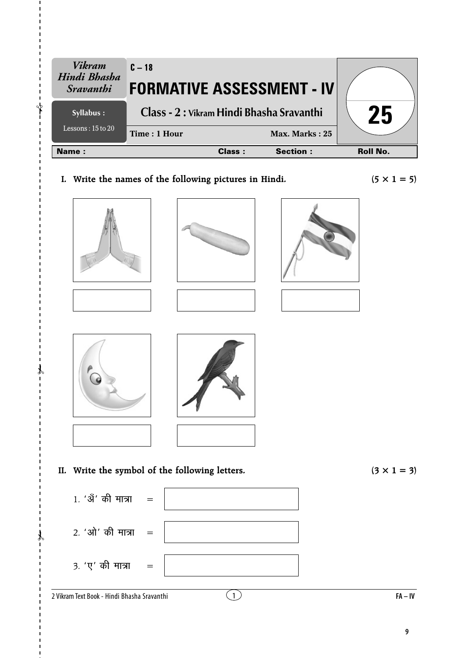| <b>Vikram</b><br>Hindi Bhasha<br><i>Sravanthi</i> | $C - 18$<br><b>FORMATIVE ASSESSMENT - IV</b>           |               |                 |                    |
|---------------------------------------------------|--------------------------------------------------------|---------------|-----------------|--------------------|
| Syllabus :                                        | Class - 2 : Vikram Hindi Bhasha Sravanthi              |               |                 | 25                 |
| Lessons: $15$ to $20$                             | Time: 1 Hour                                           |               | Max. Marks: 25  |                    |
| Name:                                             |                                                        | <b>Class:</b> | <b>Section:</b> | <b>Roll No.</b>    |
|                                                   | I. Write the names of the following pictures in Hindi. |               |                 | $(5 \times 1 = 5)$ |









**II.** Write the symbol of the following letters.  $(3 \times 1 = 3)$ 



✃

✃

 $\lambda$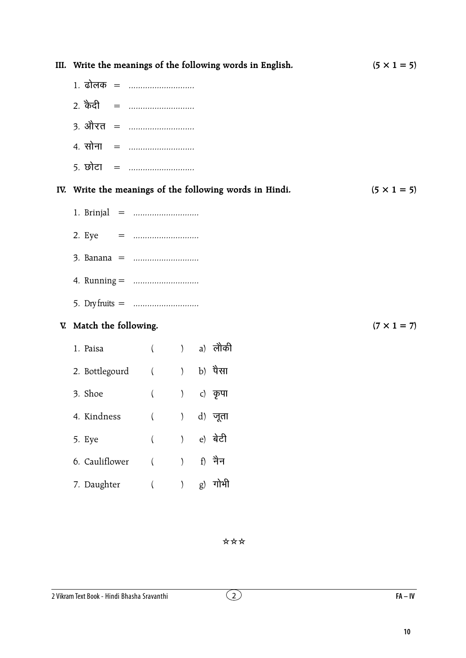|                            |             |                                                      | III. Write the meanings of the following words in English. | $(5 \times 1 = 5)$ |
|----------------------------|-------------|------------------------------------------------------|------------------------------------------------------------|--------------------|
| 1. ढोलक =                  |             |                                                      |                                                            |                    |
| 2. केदी =                  |             |                                                      |                                                            |                    |
| 3. औरत =                   |             |                                                      |                                                            |                    |
| 4. सोना =                  |             |                                                      |                                                            |                    |
| <u> 5. छोटा   =  </u>      |             |                                                      |                                                            |                    |
|                            |             |                                                      | IV. Write the meanings of the following words in Hindi.    | $(5 \times 1 = 5)$ |
|                            |             |                                                      |                                                            |                    |
| 2. Eye = $\ldots$          |             |                                                      |                                                            |                    |
|                            |             |                                                      |                                                            |                    |
|                            |             |                                                      |                                                            |                    |
| 5. Dry fruits = $\ldots$   |             |                                                      |                                                            |                    |
| V. Match the following.    |             |                                                      |                                                            | $(7 \times 1 = 7)$ |
| 1. Paisa                   | ( ) a) लौकी |                                                      |                                                            |                    |
| 2. Bottlegourd ( ) b) पैसा |             |                                                      |                                                            |                    |
| 3. Shoe                    | $\left($    | $\left( \begin{array}{c} 0 \\ 0 \end{array} \right)$ | c) कृपा                                                    |                    |
| 4. Kindness                | $\left($    | $\left( \right)$                                     | d) जूता                                                    |                    |
| 5. Eye                     | $\left($    | $\left( \right)$                                     | e) बेटी                                                    |                    |
| 6. Cauliflower             |             | $\mathcal{E}$                                        | f) नैन                                                     |                    |
| 7. Daughter                |             |                                                      | $g$ ) गोभी                                                 |                    |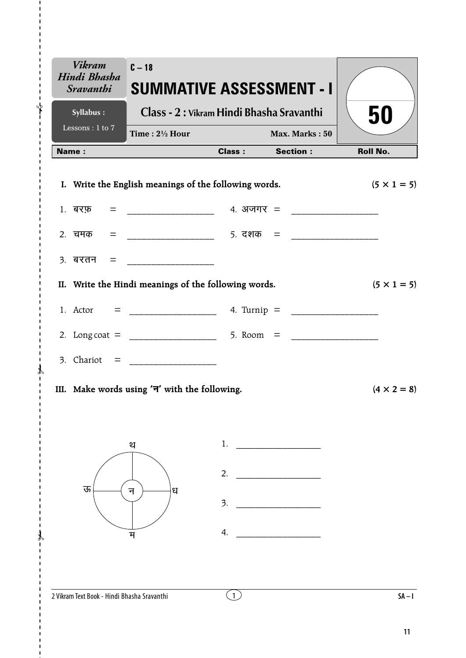| <b>Vikram</b><br>Hindi Bhasha<br><i><b>Sravanthi</b></i> | $C - 18$<br><b>SUMMATIVE ASSESSMENT - I</b>           |              |                        |                    |
|----------------------------------------------------------|-------------------------------------------------------|--------------|------------------------|--------------------|
| Syllabus:                                                | Class - 2 : Vikram Hindi Bhasha Sravanthi             |              |                        | 50                 |
| Lessons : $1$ to $7$                                     | Time: $2\frac{1}{2}$ Hour                             |              | Max. Marks: 50         |                    |
| <b>Name:</b>                                             |                                                       |              | <b>Class:</b> Section: | <b>Roll No.</b>    |
|                                                          | I. Write the English meanings of the following words. |              |                        | $(5 \times 1 = 5)$ |
|                                                          |                                                       |              |                        |                    |
|                                                          |                                                       |              |                        |                    |
|                                                          |                                                       |              |                        |                    |
|                                                          | II. Write the Hindi meanings of the following words.  |              |                        | $(5 \times 1 = 5)$ |
|                                                          |                                                       |              |                        |                    |
|                                                          |                                                       |              |                        |                    |
|                                                          |                                                       |              |                        |                    |
|                                                          | III. Make words using ' $\neg$ ' with the following.  |              |                        | $(4 \times 2 = 8)$ |
|                                                          | थ                                                     | 1.           |                        |                    |
|                                                          |                                                       | 2.           |                        |                    |
| ऊ                                                        | ध<br>न                                                | 3.           |                        |                    |
|                                                          | म                                                     | 4.           |                        |                    |
|                                                          |                                                       |              |                        |                    |
| 2 Vikram Text Book - Hindi Bhasha Sravanthi              |                                                       | $\mathbf{1}$ |                        | $SA - I$           |

 $\overline{\phantom{a}}$ 

ł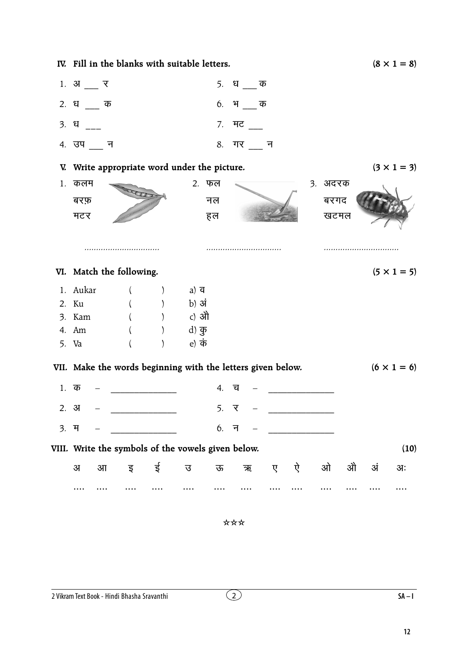|      | IV. Fill in the blanks with suitable letters.               |   |                                  |                   |        |   |         |   |   |                          |      |    | $(8 \times 1 = 8)$ |
|------|-------------------------------------------------------------|---|----------------------------------|-------------------|--------|---|---------|---|---|--------------------------|------|----|--------------------|
|      | $1.$ अ $\frac{1}{1}$ र                                      |   |                                  |                   |        |   | 5. धक   |   |   |                          |      |    |                    |
|      | 2. धक                                                       |   |                                  |                   |        |   | 6. भक   |   |   |                          |      |    |                    |
|      | 3. ध                                                        |   |                                  |                   |        |   | 7. मट   |   |   |                          |      |    |                    |
|      | 4. उप न                                                     |   |                                  |                   |        |   | 8. गर न |   |   |                          |      |    |                    |
|      | V. Write appropriate word under the picture.                |   |                                  |                   |        |   |         |   |   |                          |      |    | $(3 \times 1 = 3)$ |
|      | 1. कलम                                                      |   |                                  | 2. फल             |        |   |         |   |   | 3. अदरक                  |      |    |                    |
|      | बरफ़                                                        |   |                                  |                   | नल     |   |         |   |   | बरगद                     |      |    |                    |
|      | मटर                                                         |   |                                  |                   | हल     |   |         |   |   |                          | खटमल |    |                    |
|      |                                                             |   |                                  |                   |        |   |         |   |   |                          |      |    |                    |
|      |                                                             |   |                                  |                   |        |   |         |   |   |                          |      |    |                    |
|      | VI. Match the following.                                    |   |                                  |                   |        |   |         |   |   |                          |      |    | $(5 \times 1 = 5)$ |
|      | 1. Aukar                                                    |   |                                  | a) $\overline{q}$ |        |   |         |   |   |                          |      |    |                    |
|      | 2. Ku                                                       |   |                                  | b) अं             |        |   |         |   |   |                          |      |    |                    |
|      | 3. Kam                                                      |   |                                  | c) औ              |        |   |         |   |   |                          |      |    |                    |
|      | 4. Am                                                       |   |                                  | d) कु             |        |   |         |   |   |                          |      |    |                    |
|      | 5. Va                                                       |   |                                  | e) कं             |        |   |         |   |   |                          |      |    |                    |
|      | VII. Make the words beginning with the letters given below. |   |                                  |                   |        |   |         |   |   |                          |      |    | $(6 \times 1 = 6)$ |
|      | $1.$ क                                                      |   |                                  |                   | 4.     | 디 |         |   |   |                          |      |    |                    |
|      | 2.3J                                                        |   |                                  |                   | 5. र   |   |         |   |   | $\overline{\phantom{a}}$ |      |    |                    |
| 3. म |                                                             |   | <u> 1999 - Johann Barnett, f</u> |                   | $6.$ न |   |         |   |   |                          |      |    |                    |
|      | VIII. Write the symbols of the vowels given below.          |   |                                  |                   |        |   |         |   |   |                          |      |    | (10)               |
|      | $\overline{3}$<br>$3\Pi$                                    | इ | ई                                | ত্ত               | ऊ      |   | ऋ       | ए | ऐ | ओ                        | औ    | अं | अः                 |
|      |                                                             |   |                                  |                   |        |   |         |   |   |                          |      |    |                    |

 $SA-I$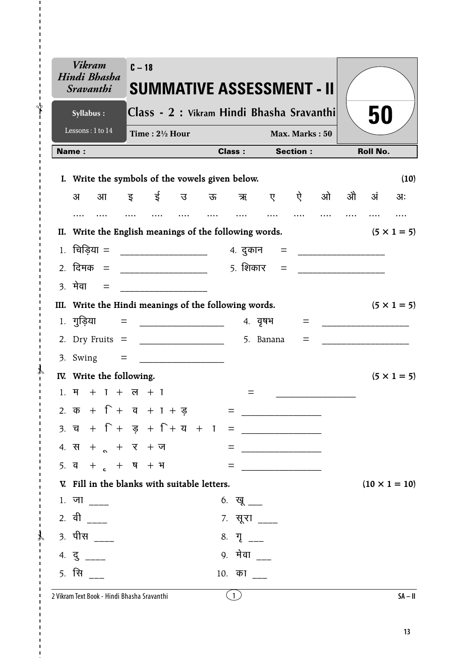|                  | <b>Vikram</b><br>Hindi Bhasha<br><i><b>Sravanthi</b></i>                  | $C - 18$                                    |                                                                                                                       | SUMMATIVE ASSESSMENT - II |                         |                   |                                          |   |      |                 |                      |
|------------------|---------------------------------------------------------------------------|---------------------------------------------|-----------------------------------------------------------------------------------------------------------------------|---------------------------|-------------------------|-------------------|------------------------------------------|---|------|-----------------|----------------------|
|                  | Syllabus:                                                                 | Class - 2 : Vikram Hindi Bhasha Sravanthi   |                                                                                                                       |                           |                         |                   |                                          |   |      | 50              |                      |
|                  | Lessons: 1 to 14                                                          | Time: $2\frac{1}{2}$ Hour                   |                                                                                                                       |                           |                         |                   | Max. Marks: 50                           |   |      |                 |                      |
| Name:            |                                                                           |                                             |                                                                                                                       | <b>Class:</b>             |                         |                   | <b>Section:</b>                          |   |      | <b>Roll No.</b> |                      |
| L.               | Write the symbols of the vowels given below.                              |                                             |                                                                                                                       |                           |                         |                   |                                          |   |      |                 | (10)                 |
|                  | अ<br>आ                                                                    | इ ई                                         | उ                                                                                                                     |                           |                         |                   | ऊ ऋ ए ऐ                                  | ओ | औ अं |                 | अः                   |
|                  | .                                                                         |                                             | $\cdots$                                                                                                              | $\cdots$                  | $\cdots$                | $\cdots$          |                                          |   |      |                 |                      |
|                  | II. Write the English meanings of the following words.                    |                                             |                                                                                                                       |                           |                         |                   |                                          |   |      |                 | $(5 \times 1 = 5)$   |
| 1.               | चिड़िया = ____________________                                            |                                             |                                                                                                                       |                           |                         |                   | 4. दुकान = __________________            |   |      |                 |                      |
|                  | 2. दिमक = ____________________                                            |                                             |                                                                                                                       |                           |                         | <u>5. शिकार =</u> |                                          |   |      |                 |                      |
| $\overline{3}$ . | मेवा =                                                                    |                                             | _________________________                                                                                             |                           |                         |                   |                                          |   |      |                 |                      |
|                  | III. Write the Hindi meanings of the following words.                     |                                             |                                                                                                                       |                           |                         |                   |                                          |   |      |                 | $(5 \times 1 = 5)$   |
|                  | $1.$ गुड़िया =                                                            |                                             | <u> Liston de la construcción de la construcción de la construcción de la construcción de la construcción de la c</u> |                           |                         | ४. वृषभ           | =                                        |   |      |                 |                      |
|                  | 2. Dry Fruits $=$                                                         |                                             |                                                                                                                       |                           |                         | 5. Banana         | $=$                                      |   |      |                 |                      |
|                  | $3.$ Swing $=$                                                            |                                             |                                                                                                                       |                           |                         |                   |                                          |   |      |                 |                      |
|                  | IV. Write the following.                                                  |                                             |                                                                                                                       |                           |                         |                   |                                          |   |      |                 | $(5 \times 1 = 5)$   |
|                  | $1. 7 + 1 + 7 + 7$                                                        |                                             |                                                                                                                       |                           | =                       |                   |                                          |   |      |                 |                      |
|                  | 2. $\overline{a}$ + $\Gamma$ + $\overline{a}$ + $\Gamma$ + $\overline{g}$ |                                             |                                                                                                                       |                           |                         |                   |                                          |   |      |                 |                      |
|                  |                                                                           |                                             |                                                                                                                       |                           |                         |                   |                                          |   |      |                 |                      |
|                  | 4. स + $\alpha$ + $\beta$ + ज                                             |                                             |                                                                                                                       |                           |                         |                   | $\begin{tabular}{c} \bf = \end{tabular}$ |   |      |                 |                      |
|                  | 5. $\frac{1}{4}$ + $\frac{1}{6}$ + $\frac{1}{4}$ + $\frac{1}{4}$          |                                             |                                                                                                                       |                           |                         |                   | = <u>__________________</u>              |   |      |                 |                      |
|                  | V. Fill in the blanks with suitable letters.                              |                                             |                                                                                                                       |                           |                         |                   |                                          |   |      |                 | $(10 \times 1 = 10)$ |
|                  | $1.$ जा ____                                                              |                                             |                                                                                                                       |                           | 6. खू ___               |                   |                                          |   |      |                 |                      |
|                  | 2. वी ____                                                                |                                             |                                                                                                                       |                           | 7. सूरा ____            |                   |                                          |   |      |                 |                      |
|                  | 3. पीस ____                                                               |                                             |                                                                                                                       |                           | 8. $\Pi$ <sub>___</sub> |                   |                                          |   |      |                 |                      |
|                  | $4. \frac{1}{3}$ ____                                                     |                                             |                                                                                                                       |                           | 9. मेवा                 |                   |                                          |   |      |                 |                      |
|                  | <u>5. सि</u>                                                              |                                             |                                                                                                                       |                           | 10. का                  |                   |                                          |   |      |                 |                      |
|                  |                                                                           | 2 Vikram Text Book - Hindi Bhasha Sravanthi |                                                                                                                       |                           | (1)                     |                   |                                          |   |      |                 | $SA - II$            |

 $\mathbf{I}$  $\sqrt[4]{}$ 

 $\mathcal{X}$  $\overline{1}$ 

 $\mathcal{X}$  $\blacksquare$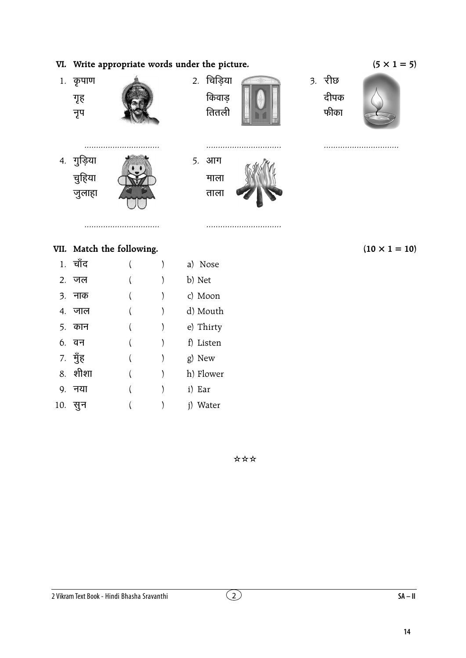### VI. Write appropriate words under the picture.



#### VII. Match the following.

|    | 1. चाँद |  | a) Nose   |
|----|---------|--|-----------|
|    | 2. जल   |  | b) Net    |
|    | 3. नाक  |  | c) Moon   |
|    | ४. जाल  |  | d) Mouth  |
|    | 5. कान  |  | e) Thirty |
|    | 6. वन   |  | f) Listen |
|    | 7. मुँह |  | g) New    |
|    | 8. शीशा |  | h) Flower |
| 9. | नया     |  | i) Ear    |
|    | 10. सुन |  | i) Water  |

 $(10 \times 1 = 10)$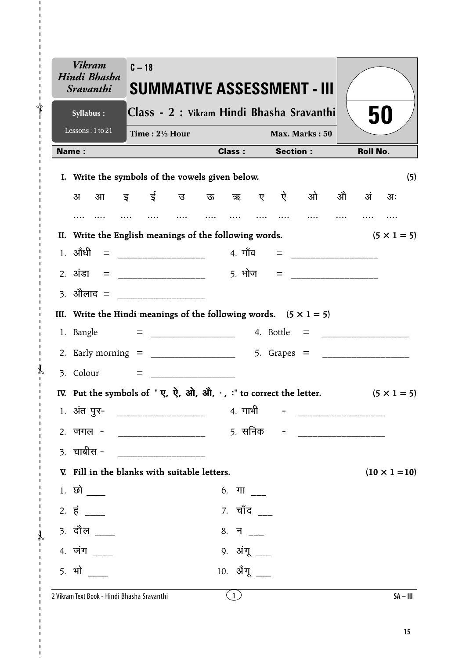| <b>Vikram</b><br>Hindi Bhasha<br><i><b>Sravanthi</b></i>                                                                                                                                                              | $C - 18$                  |                                                 |               |                 | <b>SUMMATIVE ASSESSMENT - III</b>         |                 |                      |
|-----------------------------------------------------------------------------------------------------------------------------------------------------------------------------------------------------------------------|---------------------------|-------------------------------------------------|---------------|-----------------|-------------------------------------------|-----------------|----------------------|
| Syllabus:                                                                                                                                                                                                             |                           |                                                 |               |                 | Class - 2 : Vikram Hindi Bhasha Sravanthi |                 | 50                   |
| Lessons: 1 to 21                                                                                                                                                                                                      | Time: $2\frac{1}{2}$ Hour |                                                 |               |                 | Max. Marks: 50                            |                 |                      |
| Name:                                                                                                                                                                                                                 |                           |                                                 | <b>Class:</b> | <b>Section:</b> |                                           | <b>Roll No.</b> |                      |
| I. Write the symbols of the vowels given below.                                                                                                                                                                       |                           |                                                 |               |                 |                                           |                 | (5)                  |
| अ                                                                                                                                                                                                                     |                           |                                                 |               |                 | आइई उऊऋए ऐओ                               | ओे अं           | $3I$ :               |
|                                                                                                                                                                                                                       |                           |                                                 |               |                 |                                           |                 |                      |
| II. Write the English meanings of the following words.                                                                                                                                                                |                           |                                                 |               |                 |                                           |                 | $(5 \times 1 = 5)$   |
|                                                                                                                                                                                                                       |                           |                                                 |               |                 |                                           |                 |                      |
|                                                                                                                                                                                                                       |                           |                                                 |               |                 |                                           |                 |                      |
| 3. ओेलाद = ________________                                                                                                                                                                                           |                           |                                                 |               |                 |                                           |                 |                      |
| III. Write the Hindi meanings of the following words. $(5 \times 1 = 5)$                                                                                                                                              |                           |                                                 |               |                 |                                           |                 |                      |
|                                                                                                                                                                                                                       |                           |                                                 |               |                 |                                           |                 |                      |
|                                                                                                                                                                                                                       |                           |                                                 |               |                 |                                           |                 |                      |
|                                                                                                                                                                                                                       |                           |                                                 |               |                 |                                           |                 |                      |
| IV. Put the symbols of " $\vec{y}$ , $\vec{y}$ , $\vec{y}$ , $\vec{y}$ , $\vec{y}$ , $\vec{y}$ , $\vec{y}$ , $\vec{y}$ , $\vec{y}$ , $\vec{y}$ , $\vec{y}$ , $\vec{y}$ , $\vec{y}$ to correct the letter. (5 x 1 = 5) |                           |                                                 |               |                 |                                           |                 |                      |
| 1. अंत पुर-                                                                                                                                                                                                           |                           |                                                 | 4. गाभी       |                 |                                           |                 |                      |
| 2. जगल -                                                                                                                                                                                                              |                           |                                                 | 5. सनिक       |                 |                                           |                 |                      |
| $3.$ चाबीस -                                                                                                                                                                                                          |                           | <u> 1990 - Johann Barnett, fransk politiker</u> |               |                 |                                           |                 |                      |
| V. Fill in the blanks with suitable letters.                                                                                                                                                                          |                           |                                                 |               |                 |                                           |                 | $(10 \times 1 = 10)$ |
| $1.$ छो $\_\_$                                                                                                                                                                                                        |                           |                                                 | 6. गा ___     |                 |                                           |                 |                      |
| $2. \vec{5}$ ____                                                                                                                                                                                                     |                           |                                                 | 7. चाँद ___   |                 |                                           |                 |                      |
| <u>3. दौल ___</u>                                                                                                                                                                                                     |                           |                                                 | 8. न ___      |                 |                                           |                 |                      |
| 4. जंग                                                                                                                                                                                                                |                           |                                                 | 9. अंगू ___   |                 |                                           |                 |                      |
| <u>5. भो</u>                                                                                                                                                                                                          |                           |                                                 | 10. ॲंगू      |                 |                                           |                 |                      |
|                                                                                                                                                                                                                       |                           |                                                 |               |                 |                                           |                 |                      |

 $\mathbf{I}$  $\bigg\uparrow$ 

 $\mathcal{X}$  $\overline{1}$ 

 $\mathcal{X}$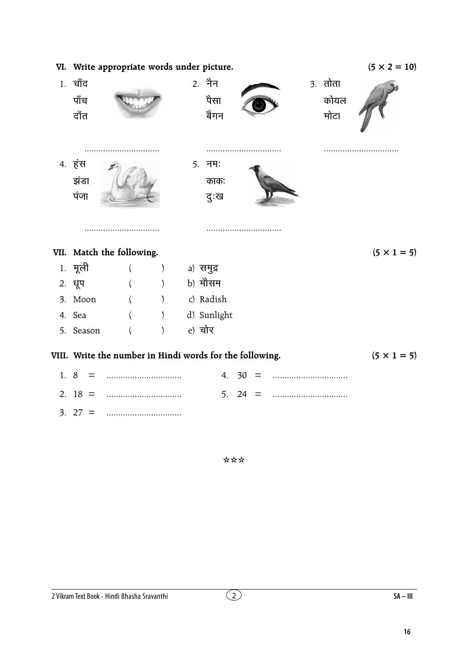|     |                         | VI. Write appropriate words under picture.               |                              |                          |       |  |                           | $(5 \times 2 = 10)$ |
|-----|-------------------------|----------------------------------------------------------|------------------------------|--------------------------|-------|--|---------------------------|---------------------|
|     | 1. चाँद<br>पाँच<br>दाँत |                                                          |                              | 2. नैन<br>पैसा<br>बेंगन  |       |  | $3.$ तोता<br>कोयल<br>मोटा |                     |
|     | 4. हंस<br>झंडा<br>पंजा  |                                                          |                              | $5.$ नम:<br>काक:<br>दुःख | .     |  |                           |                     |
|     |                         | VII. Match the following.                                |                              |                          |       |  |                           | $(5 \times 1 = 5)$  |
|     | 1. मूली                 |                                                          | $\left( \right)$             | a) समुद्र                |       |  |                           |                     |
|     | 2. धूप                  |                                                          | $\rightarrow$                | b) मौसम                  |       |  |                           |                     |
|     | 3. Moon                 |                                                          | $\left( \frac{1}{2} \right)$ | c) Radish                |       |  |                           |                     |
|     | 4. Sea                  |                                                          |                              | d) Sunlight              |       |  |                           |                     |
|     | 5. Season               |                                                          |                              | e) चोर                   |       |  |                           |                     |
|     |                         | VIII. Write the number in Hindi words for the following. |                              |                          |       |  |                           | $(5 \times 1 = 5)$  |
| 1.8 |                         |                                                          |                              |                          | 4. 30 |  |                           |                     |
|     | 2. $18 =$               |                                                          |                              | 5.                       | 24    |  |                           |                     |
|     | $3.27 =$                |                                                          |                              |                          |       |  |                           |                     |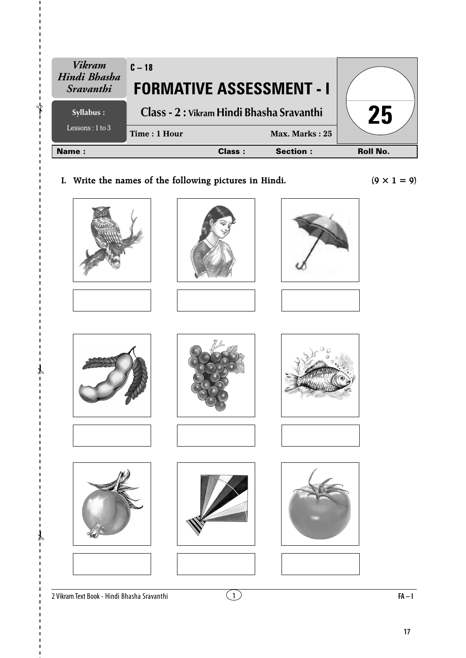| <b>Vikram</b><br>Hindi Bhasha<br>Sravanthi | $C - 18$<br><b>FORMATIVE ASSESSMENT - I</b> |               |                  |                 |
|--------------------------------------------|---------------------------------------------|---------------|------------------|-----------------|
| Syllabus :                                 | Class - 2 : Vikram Hindi Bhasha Sravanthi   |               |                  | 25              |
| Lessons : $1$ to $3$                       | Time: 1 Hour                                |               | Max. Marks: $25$ |                 |
| Name:                                      |                                             | <b>Class:</b> | <b>Section:</b>  | <b>Roll No.</b> |

**I.** Write the names of the following pictures in Hindi.  $(9 \times 1 = 9)$ 



















✃

✃

 $\lambda$ 











2 Vikram Text Book - Hindi Bhasha Sravanthi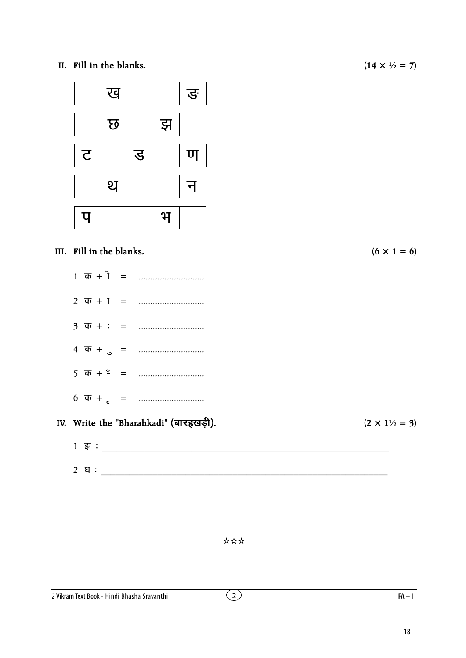II. Fill in the blanks.



#### III. Fill in the blanks.

- 
- 

#### IV. Write the "Bharahkadi" (बारहखड़ी).

 $(14 \times \frac{1}{2} = 7)$ 

 $(6 \times 1 = 6)$ 

 $(2 \times 1\frac{1}{2} = 3)$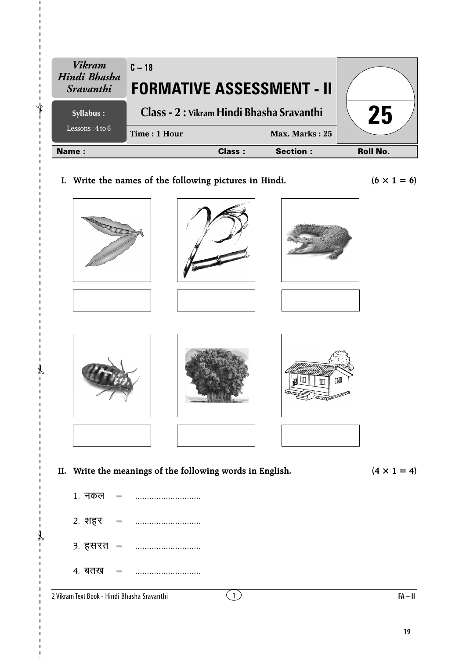| <b>Vikram</b><br>Hindi Bhasha<br><i>Sravanthi</i> | $C - 18$<br><b>FORMATIVE ASSESSMENT - II</b> |        |                  |                 |
|---------------------------------------------------|----------------------------------------------|--------|------------------|-----------------|
| Syllabus :                                        | Class - 2 : Vikram Hindi Bhasha Sravanthi    |        | 25               |                 |
| Lessons: $4$ to $6$                               | Time: 1 Hour                                 |        | Max. Marks: $25$ |                 |
| <b>Name:</b>                                      |                                              | Class: | <b>Section:</b>  | <b>Roll No.</b> |

I. Write the names of the following pictures in Hindi.

 $(6 \times 1 = 6)$ 



 $(4 \times 1 = 4)$ 

1. नकल  $\equiv$ 2. शहर  $=$  $3.75 + 3.75 = 3.75$ 4. बतख  $=$ 

2 Vikram Text Book - Hindi Bhasha Sravanthi

 $FA - II$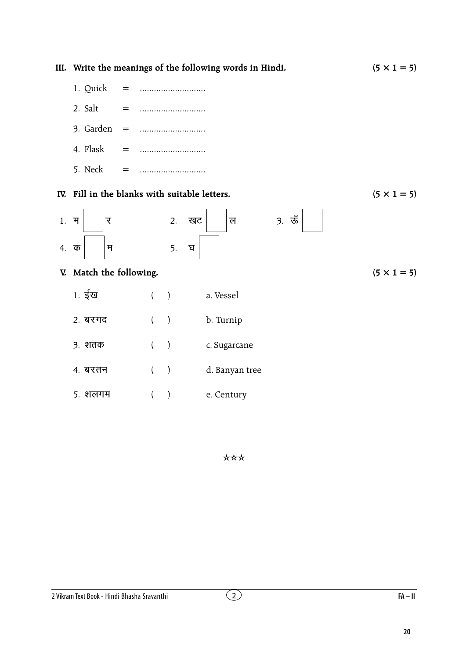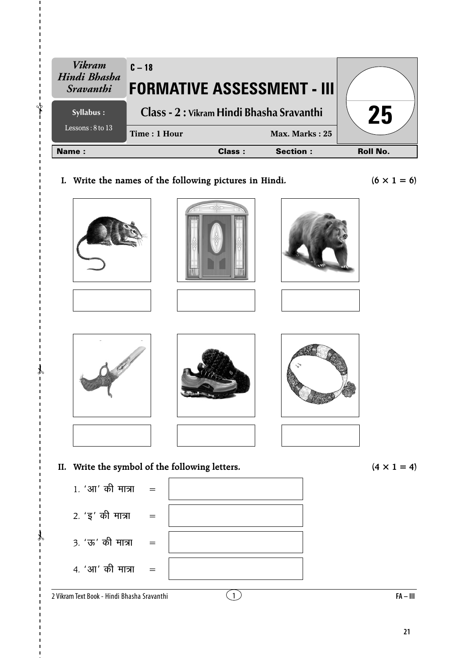| Vikram                                  | $C - 18$                                  |        |                  |                 |
|-----------------------------------------|-------------------------------------------|--------|------------------|-----------------|
| Hindi Bhasha<br><i><b>Sravanthi</b></i> | <b>FORMATIVE ASSESSMENT - III</b>         |        |                  |                 |
| Syllabus :                              | Class - 2 : Vikram Hindi Bhasha Sravanthi | 25     |                  |                 |
| Lessons: $8$ to 13                      | Time: 1 Hour                              |        | Max. Marks: $25$ |                 |
| <b>Name:</b>                            |                                           | Class: | <b>Section:</b>  | <b>Roll No.</b> |
|                                         |                                           |        |                  |                 |

**I.** Write the names of the following pictures in Hindi.  $(6 \times 1 = 6)$ 















**II.** Write the symbol of the following letters.  $(4 \times 1 = 4)$ 

 $2.$  ' $\xi'$  की मात्रा =

3. 'ऊ' की मात्रा =

✃

✃

 $\lambda$ 

 $4.$  'आ' की मात्रा =



2 Vikram Text Book - Hindi Bhasha Sravanthi

1 **FA – III**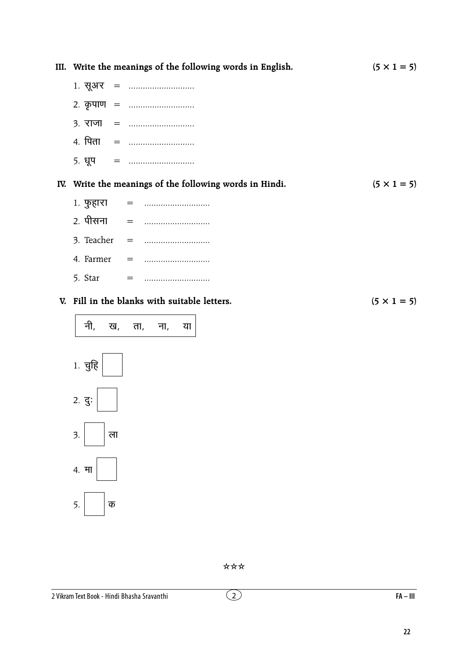|     | III. Write the meanings of the following words in English. | $(5 \times 1 = 5)$ |
|-----|------------------------------------------------------------|--------------------|
|     |                                                            |                    |
|     | 2. कृपाण =                                                 |                    |
|     |                                                            |                    |
|     | 4. पिता =                                                  |                    |
|     |                                                            |                    |
|     | IV. Write the meanings of the following words in Hindi.    | $(5 \times 1 = 5)$ |
|     | 1. फुहारा =                                                |                    |
|     |                                                            |                    |
|     |                                                            |                    |
|     |                                                            |                    |
|     |                                                            |                    |
|     | V. Fill in the blanks with suitable letters.               | $(5 \times 1 = 5)$ |
| नी, | ख, ता, ना,<br>या                                           |                    |



\*\*\*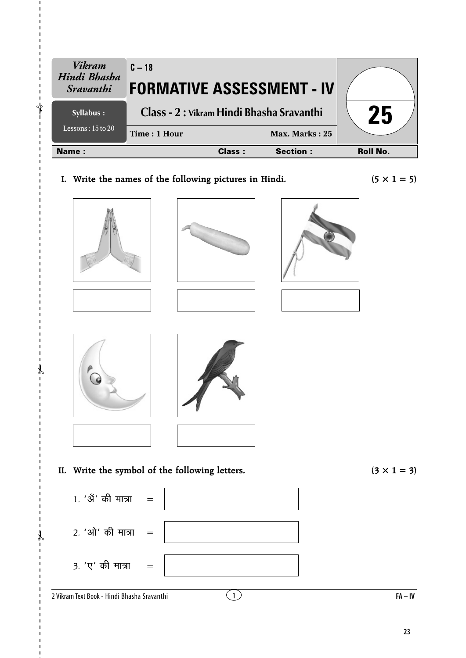| <b>Vikram</b><br>Hindi Bhasha | $C - 18$                                               |                 |                    |
|-------------------------------|--------------------------------------------------------|-----------------|--------------------|
| <i>Sravanthi</i>              | <b>FORMATIVE ASSESSMENT - IV</b>                       |                 |                    |
| Syllabus :                    | Class - 2 : Vikram Hindi Bhasha Sravanthi              |                 | 25                 |
| Lessons: $15$ to $20$         | Time: 1 Hour                                           | Max. Marks: 25  |                    |
| Name:                         | <b>Class:</b>                                          | <b>Section:</b> | <b>Roll No.</b>    |
|                               | I. Write the names of the following pictures in Hindi. |                 | $(5 \times 1 = 5)$ |















✃

✃

 $\lambda$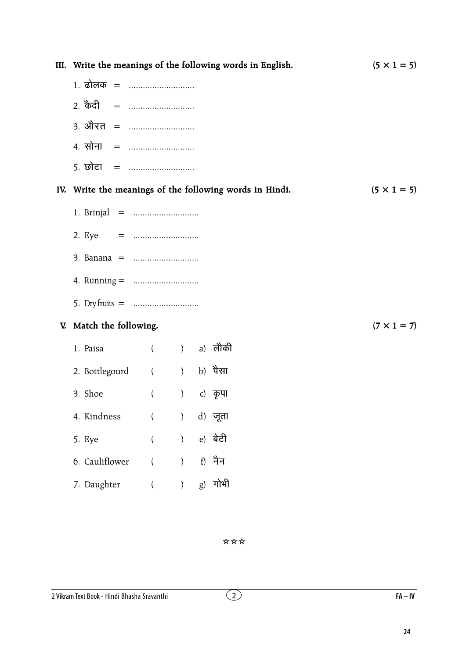|                            |          |                                                      | III. Write the meanings of the following words in English. | $(5 \times 1 = 5)$ |
|----------------------------|----------|------------------------------------------------------|------------------------------------------------------------|--------------------|
| 1. ढोलक =                  |          |                                                      |                                                            |                    |
| 2. केदी =                  |          |                                                      |                                                            |                    |
| <u> 3. औरत = </u>          |          |                                                      |                                                            |                    |
| 4. सोना =                  |          |                                                      |                                                            |                    |
| <u> 5. छोटा   =  </u>      |          |                                                      |                                                            |                    |
|                            |          |                                                      | IV. Write the meanings of the following words in Hindi.    | $(5 \times 1 = 5)$ |
|                            |          |                                                      |                                                            |                    |
| 2. Eye = $\ldots$          |          |                                                      |                                                            |                    |
|                            |          |                                                      |                                                            |                    |
|                            |          |                                                      |                                                            |                    |
| 5. Dry fruits = $\ldots$   |          |                                                      |                                                            |                    |
| V. Match the following.    |          |                                                      |                                                            | $(7 \times 1 = 7)$ |
| 1. Paisa                   |          |                                                      | ( ) a) लौकी                                                |                    |
| 2. Bottlegourd ( ) b) पैसा |          |                                                      |                                                            |                    |
| 3. Shoe                    | $\left($ | $\left( \begin{array}{c} 0 \\ 0 \end{array} \right)$ | c) कृपा                                                    |                    |
| 4. Kindness                | $\left($ | $\mathcal{E}$                                        | d) जूता                                                    |                    |
| 5. Eye                     | $\left($ | $\mathcal{E}$                                        | e) बेटी                                                    |                    |
| 6. Cauliflower             |          | $\mathcal{E}$                                        | f) नैन                                                     |                    |
| 7. Daughter                |          |                                                      | $g$ ) गोभी                                                 |                    |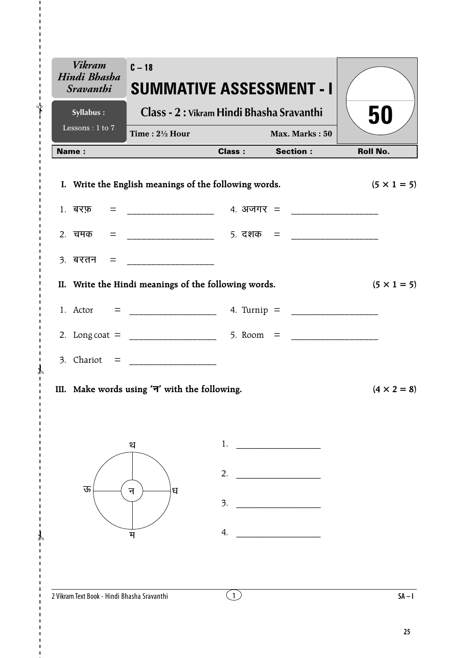| <b>Vikram</b><br>Hindi Bhasha<br><b>Sravanthi</b> | $C - 18$<br><b>SUMMATIVE ASSESSMENT - I</b>               |                        |                |                    |
|---------------------------------------------------|-----------------------------------------------------------|------------------------|----------------|--------------------|
| Syllabus :                                        | Class - 2 : Vikram Hindi Bhasha Sravanthi                 |                        |                | 50                 |
| Lessons: 1 to 7                                   | Time: $2\frac{1}{2}$ Hour                                 |                        | Max. Marks: 50 |                    |
| <b>Name:</b>                                      |                                                           | <b>Class:</b> Section: |                | <b>Roll No.</b>    |
|                                                   | I. Write the English meanings of the following words.     |                        |                | $(5 \times 1 = 5)$ |
|                                                   |                                                           |                        |                |                    |
|                                                   | 2. चमक = ____________________ 5. दशक = __________________ |                        |                |                    |
|                                                   |                                                           |                        |                |                    |
|                                                   | II. Write the Hindi meanings of the following words.      |                        |                | $(5 \times 1 = 5)$ |
|                                                   |                                                           |                        |                |                    |
|                                                   |                                                           |                        |                |                    |
|                                                   |                                                           |                        |                |                    |
|                                                   | III. Make words using ' $\exists$ ' with the following.   |                        |                | $(4 \times 2 = 8)$ |
|                                                   | थ                                                         | 1.                     |                |                    |
|                                                   |                                                           |                        |                |                    |
| ऊ                                                 | ध<br>न                                                    | 2.                     |                |                    |
|                                                   |                                                           | 3.                     |                |                    |
|                                                   | म                                                         | 4.                     |                |                    |
|                                                   |                                                           |                        |                |                    |
| 2 Vikram Text Book - Hindi Bhasha Sravanthi       |                                                           |                        |                | $SA - I$           |

ł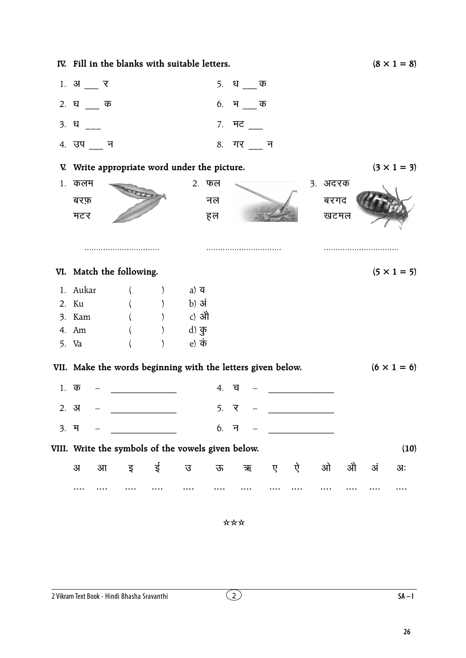|      | IV. Fill in the blanks with suitable letters.               |          |                                             |                       |        |    |         |   |   |         |   |    | $(8 \times 1 = 8)$ |
|------|-------------------------------------------------------------|----------|---------------------------------------------|-----------------------|--------|----|---------|---|---|---------|---|----|--------------------|
|      | $1.$ अ $\_\,$ र                                             |          |                                             |                       |        |    | 5. धक   |   |   |         |   |    |                    |
|      | 2. धक                                                       |          |                                             |                       | 6.     |    | भ क     |   |   |         |   |    |                    |
| 3. ध |                                                             |          |                                             |                       |        |    | 7. ਸਟ   |   |   |         |   |    |                    |
|      | 4. उप __ न                                                  |          |                                             |                       |        |    | 8. गर न |   |   |         |   |    |                    |
|      | V. Write appropriate word under the picture.                |          |                                             |                       |        |    |         |   |   |         |   |    | $(3 \times 1 = 3)$ |
| 1.   | कलम                                                         |          |                                             | 2. फल                 |        |    |         |   |   | ३. अदरक |   |    |                    |
|      | बरफ़                                                        |          |                                             |                       | नल     |    |         |   |   | बरगद    |   |    |                    |
|      | मटर                                                         |          |                                             |                       | हल     |    |         |   |   | खटमल    |   |    |                    |
|      |                                                             |          |                                             |                       |        |    |         |   |   |         |   |    |                    |
|      |                                                             |          |                                             |                       |        |    |         |   |   |         |   |    |                    |
|      | VI. Match the following.                                    |          |                                             |                       |        |    |         |   |   |         |   |    | $(5 \times 1 = 5)$ |
|      | 1. Aukar                                                    | $\left($ |                                             | a) $\overline{q}$     |        |    |         |   |   |         |   |    |                    |
|      | 2. Ku                                                       |          | $($ $)$                                     | b) अं                 |        |    |         |   |   |         |   |    |                    |
|      | 3. Kam                                                      |          |                                             | c) औ                  |        |    |         |   |   |         |   |    |                    |
|      | 4. Am                                                       |          |                                             | d) कु                 |        |    |         |   |   |         |   |    |                    |
|      | 5. Va                                                       |          |                                             | e) $\dot{\bar{\Phi}}$ |        |    |         |   |   |         |   |    |                    |
|      | VII. Make the words beginning with the letters given below. |          |                                             |                       |        |    |         |   |   |         |   |    | $(6 \times 1 = 6)$ |
|      | $1.$ क                                                      |          |                                             |                       | 4.     | 디  |         |   |   |         |   |    |                    |
|      | 2.3J                                                        |          | <u> 1980 - Jan Barbara Barat III, marka</u> |                       | 5.     | ्र |         |   |   |         |   |    |                    |
| 3. म |                                                             |          | <u> 1999 - Johann Barnett, f</u>            |                       | $6.$ न |    |         |   |   |         |   |    |                    |
|      | VIII. Write the symbols of the vowels given below.          |          |                                             |                       |        |    |         |   |   |         |   |    | (10)               |
|      | $3\Pi$<br>$\overline{3}$                                    | इ        | ई                                           | ত্ত                   | ऊ      |    | ऋ       | ए | ऐ | ओ       | औ | अं | अः                 |
|      |                                                             |          |                                             |                       |        |    |         |   |   |         |   |    |                    |

 $SA-I$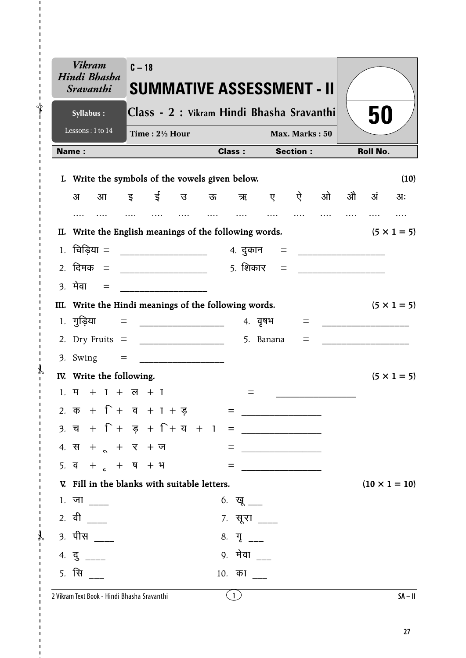|                  | <b>Vikram</b><br>Hindi Bhasha<br><i><b>Sravanthi</b></i>                  |  | $C - 18$                                                                                                              |               | SUMMATIVE ASSESSMENT - II                 |                         |                   |                                          |                 |      |    |                      |
|------------------|---------------------------------------------------------------------------|--|-----------------------------------------------------------------------------------------------------------------------|---------------|-------------------------------------------|-------------------------|-------------------|------------------------------------------|-----------------|------|----|----------------------|
|                  | Syllabus:                                                                 |  |                                                                                                                       |               | Class - 2 : Vikram Hindi Bhasha Sravanthi |                         |                   |                                          |                 |      | 50 |                      |
|                  | Lessons: 1 to 14                                                          |  | Time: $2\frac{1}{2}$ Hour                                                                                             |               |                                           |                         |                   | Max. Marks: 50                           |                 |      |    |                      |
| Name:            |                                                                           |  |                                                                                                                       | <b>Class:</b> |                                           | <b>Section:</b>         |                   |                                          | <b>Roll No.</b> |      |    |                      |
| L.               | Write the symbols of the vowels given below.                              |  |                                                                                                                       |               |                                           |                         |                   |                                          |                 |      |    | (10)                 |
|                  | अ<br>आ                                                                    |  | इ ई                                                                                                                   | उ             |                                           |                         |                   | ऊ ऋ ए ऐ                                  | ओ               | औ अं |    | अः                   |
|                  | .                                                                         |  |                                                                                                                       | $\cdots$      | $\cdots$                                  | $\cdots$                | $\cdots$          |                                          |                 |      |    |                      |
|                  | II. Write the English meanings of the following words.                    |  |                                                                                                                       |               |                                           |                         |                   |                                          |                 |      |    | $(5 \times 1 = 5)$   |
| 1.               | चिड़िया = ____________________                                            |  |                                                                                                                       |               |                                           |                         |                   | 4. दुकान = __________________            |                 |      |    |                      |
|                  | 2. दिमक = ____________________                                            |  |                                                                                                                       |               |                                           |                         | <u>5. शिकार =</u> |                                          |                 |      |    |                      |
| $\overline{3}$ . | मेवा =                                                                    |  | _________________________                                                                                             |               |                                           |                         |                   |                                          |                 |      |    |                      |
|                  | III. Write the Hindi meanings of the following words.                     |  |                                                                                                                       |               |                                           |                         |                   |                                          |                 |      |    | $(5 \times 1 = 5)$   |
|                  | $1.$ गुड़िया =                                                            |  | <u> Liston de la construcción de la construcción de la construcción de la construcción de la construcción de la c</u> |               |                                           |                         | ४. वृषभ           | =                                        |                 |      |    |                      |
|                  | 2. Dry Fruits $=$                                                         |  |                                                                                                                       |               |                                           |                         | 5. Banana         | $=$                                      |                 |      |    |                      |
|                  | $3.$ Swing $=$                                                            |  |                                                                                                                       |               |                                           |                         |                   |                                          |                 |      |    |                      |
|                  | IV. Write the following.                                                  |  |                                                                                                                       |               |                                           |                         |                   |                                          |                 |      |    | $(5 \times 1 = 5)$   |
|                  | $1. 7 + 1 + 7 + 7$                                                        |  |                                                                                                                       |               |                                           | =                       |                   |                                          |                 |      |    |                      |
|                  | 2. $\overline{a}$ + $\Gamma$ + $\overline{a}$ + $\Gamma$ + $\overline{g}$ |  |                                                                                                                       |               |                                           |                         |                   |                                          |                 |      |    |                      |
|                  |                                                                           |  |                                                                                                                       |               |                                           |                         |                   |                                          |                 |      |    |                      |
|                  | 4. स + $\alpha$ + $\beta$ + ज                                             |  |                                                                                                                       |               |                                           |                         |                   | $\begin{tabular}{c} \bf = \end{tabular}$ |                 |      |    |                      |
|                  | 5. $\frac{1}{4}$ + $\frac{1}{6}$ + $\frac{1}{4}$ + $\frac{1}{4}$          |  |                                                                                                                       |               |                                           |                         |                   | = <u>__________________</u>              |                 |      |    |                      |
|                  | V. Fill in the blanks with suitable letters.                              |  |                                                                                                                       |               |                                           |                         |                   |                                          |                 |      |    | $(10 \times 1 = 10)$ |
|                  | $1.$ जा ____                                                              |  |                                                                                                                       |               |                                           | 6. खू ___               |                   |                                          |                 |      |    |                      |
|                  | 2. वी ____                                                                |  |                                                                                                                       |               |                                           | 7. सूरा ____            |                   |                                          |                 |      |    |                      |
|                  | 3. पीस ____                                                               |  |                                                                                                                       |               |                                           | 8. $\Pi$ <sub>___</sub> |                   |                                          |                 |      |    |                      |
|                  | $4. \frac{1}{3}$ ____                                                     |  |                                                                                                                       |               |                                           | 9. मेवा                 |                   |                                          |                 |      |    |                      |
|                  | <u>5. सि</u>                                                              |  |                                                                                                                       |               |                                           | 10. का                  |                   |                                          |                 |      |    |                      |
|                  | 2 Vikram Text Book - Hindi Bhasha Sravanthi                               |  |                                                                                                                       |               |                                           | (1)                     |                   |                                          |                 |      |    | $SA - II$            |

 $\mathbf{I}$ ⊁่

 $\mathcal{X}$  $\overline{1}$ 

 $\mathcal{F}$  $\blacksquare$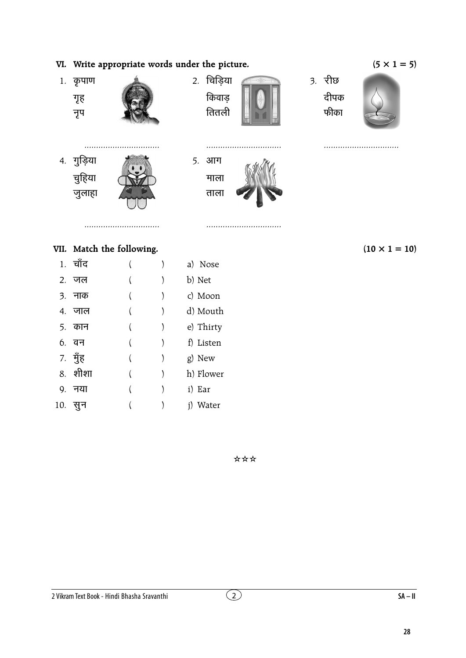### VI. Write appropriate words under the picture.



#### VII. Match the following.

|    | 1. चाँद |  | a) Nose   |
|----|---------|--|-----------|
|    | 2. जल   |  | b) Net    |
|    | ३. नाक  |  | c) Moon   |
|    | 4. जाल  |  | d) Mouth  |
|    | 5. कान  |  | e) Thirty |
|    | 6. वन   |  | f) Listen |
|    | 7. मुँह |  | g) New    |
|    | 8. शीशा |  | h) Flower |
| 9. | नया     |  | i) Ear    |
|    | 10. सुन |  | Water     |

 $(10 \times 1 = 10)$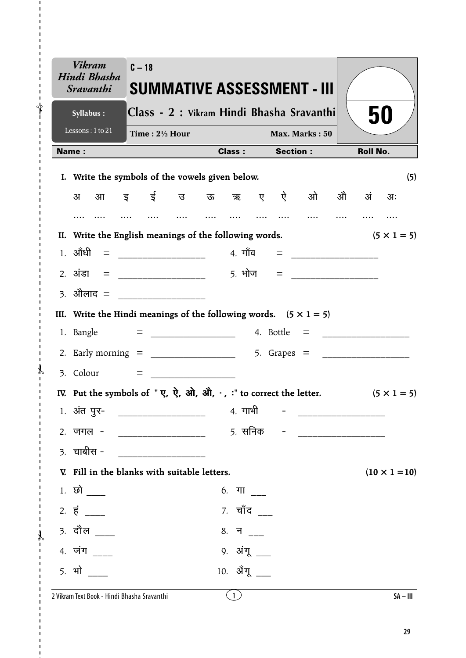| <b>Vikram</b><br>Hindi Bhasha<br><i><b>Sravanthi</b></i>                                                                                                                                                              | $C - 18$ |                           |                                                 |                |  |                 | <b>SUMMATIVE ASSESSMENT - III</b>         |  |                 |                      |  |
|-----------------------------------------------------------------------------------------------------------------------------------------------------------------------------------------------------------------------|----------|---------------------------|-------------------------------------------------|----------------|--|-----------------|-------------------------------------------|--|-----------------|----------------------|--|
| Syllabus:                                                                                                                                                                                                             |          |                           |                                                 |                |  |                 | Class - 2 : Vikram Hindi Bhasha Sravanthi |  |                 | 50                   |  |
| Lessons: 1 to 21                                                                                                                                                                                                      |          | Time: $2\frac{1}{2}$ Hour |                                                 | Max. Marks: 50 |  |                 |                                           |  |                 |                      |  |
| Name:                                                                                                                                                                                                                 |          |                           |                                                 | <b>Class:</b>  |  | <b>Section:</b> |                                           |  | <b>Roll No.</b> |                      |  |
| I. Write the symbols of the vowels given below.                                                                                                                                                                       |          |                           |                                                 |                |  |                 |                                           |  |                 | (5)                  |  |
| अ                                                                                                                                                                                                                     |          |                           |                                                 |                |  |                 | आइई उऊऋए ऐओ                               |  | ओे अं           | $3I$ :               |  |
|                                                                                                                                                                                                                       |          |                           |                                                 |                |  |                 |                                           |  |                 |                      |  |
| II. Write the English meanings of the following words.                                                                                                                                                                |          |                           |                                                 |                |  |                 |                                           |  |                 | $(5 \times 1 = 5)$   |  |
|                                                                                                                                                                                                                       |          |                           |                                                 |                |  |                 |                                           |  |                 |                      |  |
|                                                                                                                                                                                                                       |          |                           |                                                 |                |  |                 |                                           |  |                 |                      |  |
| 3. ओेलाद = ________________                                                                                                                                                                                           |          |                           |                                                 |                |  |                 |                                           |  |                 |                      |  |
| III. Write the Hindi meanings of the following words. $(5 \times 1 = 5)$                                                                                                                                              |          |                           |                                                 |                |  |                 |                                           |  |                 |                      |  |
|                                                                                                                                                                                                                       |          |                           |                                                 |                |  |                 |                                           |  |                 |                      |  |
|                                                                                                                                                                                                                       |          |                           |                                                 |                |  |                 |                                           |  |                 |                      |  |
|                                                                                                                                                                                                                       |          |                           |                                                 |                |  |                 |                                           |  |                 |                      |  |
| IV. Put the symbols of " $\vec{y}$ , $\vec{y}$ , $\vec{y}$ , $\vec{y}$ , $\vec{y}$ , $\vec{y}$ , $\vec{y}$ , $\vec{y}$ , $\vec{y}$ , $\vec{y}$ , $\vec{y}$ , $\vec{y}$ , $\vec{y}$ to correct the letter. (5 x 1 = 5) |          |                           |                                                 |                |  |                 |                                           |  |                 |                      |  |
| 1. अंत पुर-                                                                                                                                                                                                           |          |                           |                                                 | 4. गाभी        |  |                 |                                           |  |                 |                      |  |
| 2. जगल -                                                                                                                                                                                                              |          |                           |                                                 | 5. सनिक        |  |                 |                                           |  |                 |                      |  |
| $3.$ चाबीस -                                                                                                                                                                                                          |          |                           | <u> 1990 - Johann Barnett, fransk politiker</u> |                |  |                 |                                           |  |                 |                      |  |
| V. Fill in the blanks with suitable letters.                                                                                                                                                                          |          |                           |                                                 |                |  |                 |                                           |  |                 | $(10 \times 1 = 10)$ |  |
| $1.$ छो $\_\_$                                                                                                                                                                                                        |          |                           |                                                 | 6. गा ___      |  |                 |                                           |  |                 |                      |  |
| $2. \vec{5}$ ____                                                                                                                                                                                                     |          |                           |                                                 | 7. चाँद ___    |  |                 |                                           |  |                 |                      |  |
| <u>3. दौल ___</u>                                                                                                                                                                                                     |          |                           |                                                 | 8. न ___       |  |                 |                                           |  |                 |                      |  |
| 4. जंग                                                                                                                                                                                                                |          |                           |                                                 | 9. अंगू ___    |  |                 |                                           |  |                 |                      |  |
| <u>5. भो</u>                                                                                                                                                                                                          |          |                           |                                                 | 10. ॲंगू       |  |                 |                                           |  |                 |                      |  |
|                                                                                                                                                                                                                       |          |                           |                                                 |                |  |                 |                                           |  |                 |                      |  |

 $\mathbf{I}$  $\bigg\uparrow$ 

 $\mathcal{X}$  $\overline{1}$ 

 $\mathcal{X}$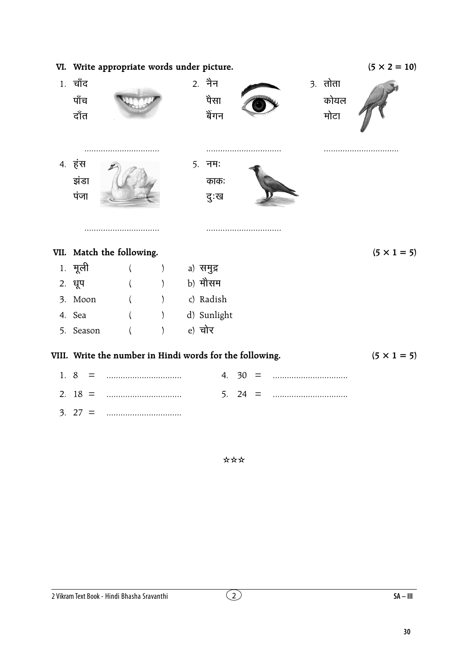|     | VI. Write appropriate words under picture. | $(5 \times 2 = 10)$                                      |                              |                          |       |  |                           |                    |
|-----|--------------------------------------------|----------------------------------------------------------|------------------------------|--------------------------|-------|--|---------------------------|--------------------|
|     | 1. चाँद<br>पाँच<br>दाँत                    |                                                          |                              | 2. नैन<br>पैसा<br>बेंगन  |       |  | $3.$ तोता<br>कोयल<br>मोटा |                    |
|     | 4. हंस<br>झंडा<br>पंजा                     |                                                          |                              | $5.$ नम:<br>काक:<br>दुःख | .     |  |                           |                    |
|     |                                            | VII. Match the following.                                |                              |                          |       |  |                           | $(5 \times 1 = 5)$ |
|     | 1. मूली                                    |                                                          | $\left( \right)$             | a) समुद्र                |       |  |                           |                    |
|     | 2. धूप                                     |                                                          | $\rightarrow$                | b) मौसम                  |       |  |                           |                    |
|     | 3. Moon                                    |                                                          | $\left( \frac{1}{2} \right)$ | c) Radish                |       |  |                           |                    |
|     | 4. Sea                                     |                                                          |                              | d) Sunlight              |       |  |                           |                    |
|     | 5. Season                                  |                                                          |                              | e) चोर                   |       |  |                           |                    |
|     |                                            | VIII. Write the number in Hindi words for the following. |                              |                          |       |  |                           | $(5 \times 1 = 5)$ |
| 1.8 |                                            |                                                          |                              |                          | 4. 30 |  |                           |                    |
|     | 2. $18 =$                                  |                                                          |                              | 5.                       | 24    |  |                           |                    |
|     | $3.27 =$                                   |                                                          |                              |                          |       |  |                           |                    |